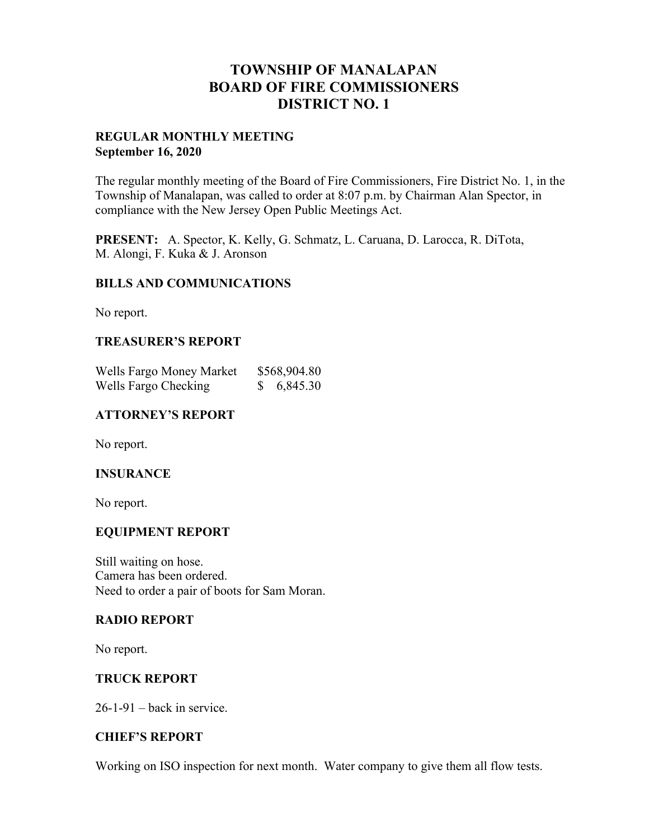## **TOWNSHIP OF MANALAPAN BOARD OF FIRE COMMISSIONERS DISTRICT NO. 1**

## **REGULAR MONTHLY MEETING September 16, 2020**

The regular monthly meeting of the Board of Fire Commissioners, Fire District No. 1, in the Township of Manalapan, was called to order at 8:07 p.m. by Chairman Alan Spector, in compliance with the New Jersey Open Public Meetings Act.

**PRESENT:** A. Spector, K. Kelly, G. Schmatz, L. Caruana, D. Larocca, R. DiTota, M. Alongi, F. Kuka & J. Aronson

## **BILLS AND COMMUNICATIONS**

No report.

## **TREASURER'S REPORT**

| Wells Fargo Money Market | \$568,904.80 |
|--------------------------|--------------|
| Wells Fargo Checking     | 6,845.30     |

## **ATTORNEY'S REPORT**

No report.

#### **INSURANCE**

No report.

## **EQUIPMENT REPORT**

Still waiting on hose. Camera has been ordered. Need to order a pair of boots for Sam Moran.

## **RADIO REPORT**

No report.

#### **TRUCK REPORT**

 $26-1-91$  – back in service.

## **CHIEF'S REPORT**

Working on ISO inspection for next month. Water company to give them all flow tests.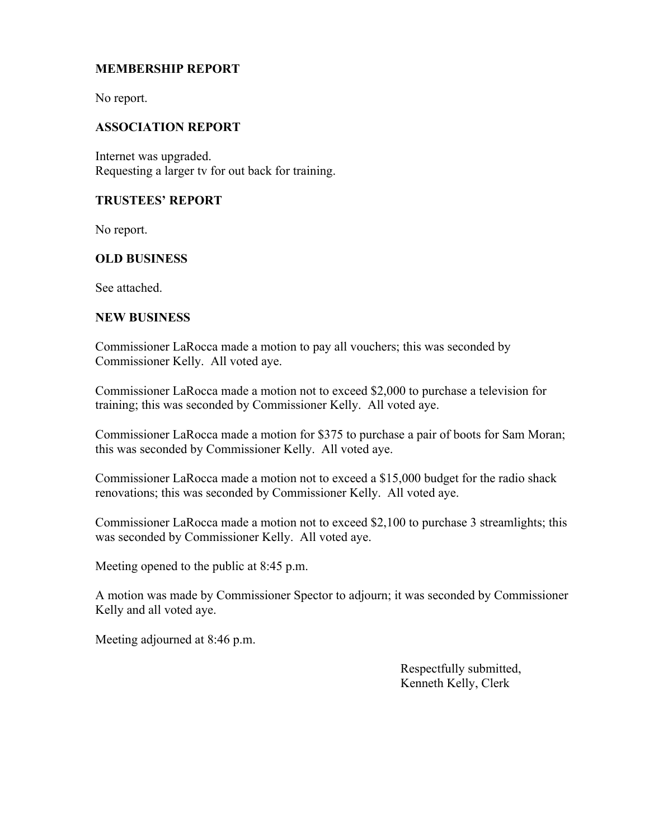## **MEMBERSHIP REPORT**

No report.

## **ASSOCIATION REPORT**

Internet was upgraded. Requesting a larger tv for out back for training.

## **TRUSTEES' REPORT**

No report.

## **OLD BUSINESS**

See attached.

#### **NEW BUSINESS**

Commissioner LaRocca made a motion to pay all vouchers; this was seconded by Commissioner Kelly. All voted aye.

Commissioner LaRocca made a motion not to exceed \$2,000 to purchase a television for training; this was seconded by Commissioner Kelly. All voted aye.

Commissioner LaRocca made a motion for \$375 to purchase a pair of boots for Sam Moran; this was seconded by Commissioner Kelly. All voted aye.

Commissioner LaRocca made a motion not to exceed a \$15,000 budget for the radio shack renovations; this was seconded by Commissioner Kelly. All voted aye.

Commissioner LaRocca made a motion not to exceed \$2,100 to purchase 3 streamlights; this was seconded by Commissioner Kelly. All voted aye.

Meeting opened to the public at 8:45 p.m.

A motion was made by Commissioner Spector to adjourn; it was seconded by Commissioner Kelly and all voted aye.

Meeting adjourned at 8:46 p.m.

 Respectfully submitted, Kenneth Kelly, Clerk